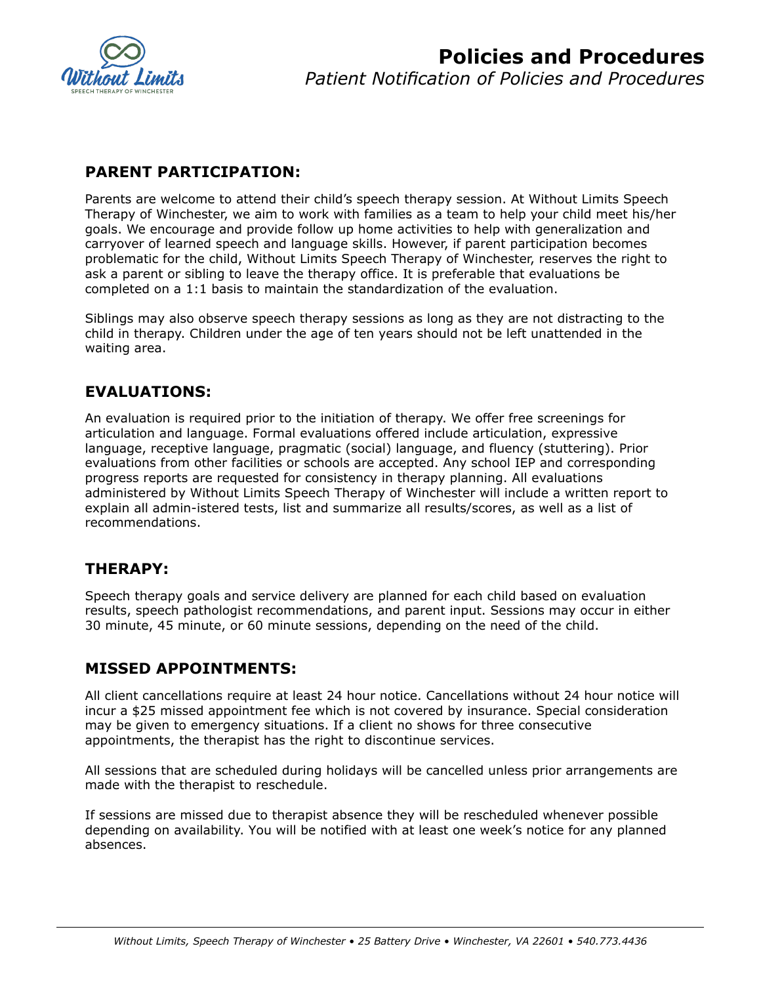

## **PARENT PARTICIPATION:**

Parents are welcome to attend their child's speech therapy session. At Without Limits Speech Therapy of Winchester, we aim to work with families as a team to help your child meet his/her goals. We encourage and provide follow up home activities to help with generalization and carryover of learned speech and language skills. However, if parent participation becomes problematic for the child, Without Limits Speech Therapy of Winchester, reserves the right to ask a parent or sibling to leave the therapy office. It is preferable that evaluations be completed on a 1:1 basis to maintain the standardization of the evaluation.

Siblings may also observe speech therapy sessions as long as they are not distracting to the child in therapy. Children under the age of ten years should not be left unattended in the waiting area.

# **EVALUATIONS:**

An evaluation is required prior to the initiation of therapy. We offer free screenings for articulation and language. Formal evaluations offered include articulation, expressive language, receptive language, pragmatic (social) language, and fluency (stuttering). Prior evaluations from other facilities or schools are accepted. Any school IEP and corresponding progress reports are requested for consistency in therapy planning. All evaluations administered by Without Limits Speech Therapy of Winchester will include a written report to explain all admin-istered tests, list and summarize all results/scores, as well as a list of recommendations.

## **THERAPY:**

Speech therapy goals and service delivery are planned for each child based on evaluation results, speech pathologist recommendations, and parent input. Sessions may occur in either 30 minute, 45 minute, or 60 minute sessions, depending on the need of the child.

## **MISSED APPOINTMENTS:**

All client cancellations require at least 24 hour notice. Cancellations without 24 hour notice will incur a \$25 missed appointment fee which is not covered by insurance. Special consideration may be given to emergency situations. If a client no shows for three consecutive appointments, the therapist has the right to discontinue services.

All sessions that are scheduled during holidays will be cancelled unless prior arrangements are made with the therapist to reschedule.

If sessions are missed due to therapist absence they will be rescheduled whenever possible depending on availability. You will be notified with at least one week's notice for any planned absences.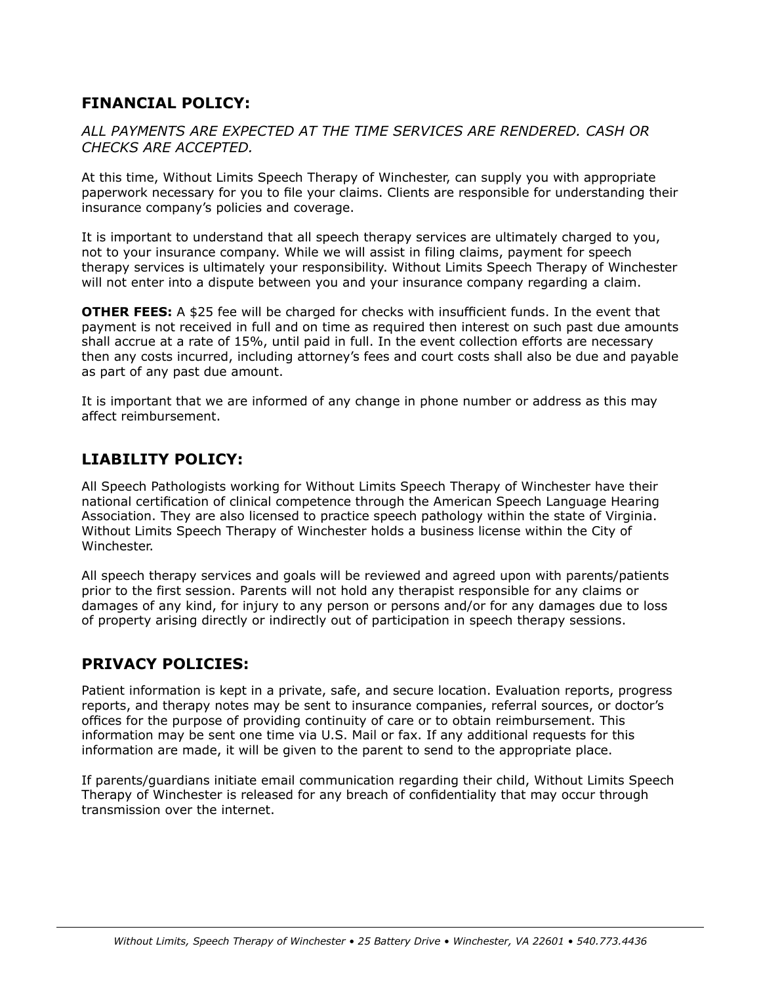#### **FINANCIAL POLICY:**

#### *ALL PAYMENTS ARE EXPECTED AT THE TIME SERVICES ARE RENDERED. CASH OR CHECKS ARE ACCEPTED.*

At this time, Without Limits Speech Therapy of Winchester, can supply you with appropriate paperwork necessary for you to file your claims. Clients are responsible for understanding their insurance company's policies and coverage.

It is important to understand that all speech therapy services are ultimately charged to you, not to your insurance company. While we will assist in filing claims, payment for speech therapy services is ultimately your responsibility. Without Limits Speech Therapy of Winchester will not enter into a dispute between you and your insurance company regarding a claim.

**OTHER FEES:** A \$25 fee will be charged for checks with insufficient funds. In the event that payment is not received in full and on time as required then interest on such past due amounts shall accrue at a rate of 15%, until paid in full. In the event collection efforts are necessary then any costs incurred, including attorney's fees and court costs shall also be due and payable as part of any past due amount.

It is important that we are informed of any change in phone number or address as this may affect reimbursement.

### **LIABILITY POLICY:**

All Speech Pathologists working for Without Limits Speech Therapy of Winchester have their national certification of clinical competence through the American Speech Language Hearing Association. They are also licensed to practice speech pathology within the state of Virginia. Without Limits Speech Therapy of Winchester holds a business license within the City of Winchester.

All speech therapy services and goals will be reviewed and agreed upon with parents/patients prior to the first session. Parents will not hold any therapist responsible for any claims or damages of any kind, for injury to any person or persons and/or for any damages due to loss of property arising directly or indirectly out of participation in speech therapy sessions.

#### **PRIVACY POLICIES:**

Patient information is kept in a private, safe, and secure location. Evaluation reports, progress reports, and therapy notes may be sent to insurance companies, referral sources, or doctor's offices for the purpose of providing continuity of care or to obtain reimbursement. This information may be sent one time via U.S. Mail or fax. If any additional requests for this information are made, it will be given to the parent to send to the appropriate place.

If parents/guardians initiate email communication regarding their child, Without Limits Speech Therapy of Winchester is released for any breach of confidentiality that may occur through transmission over the internet.